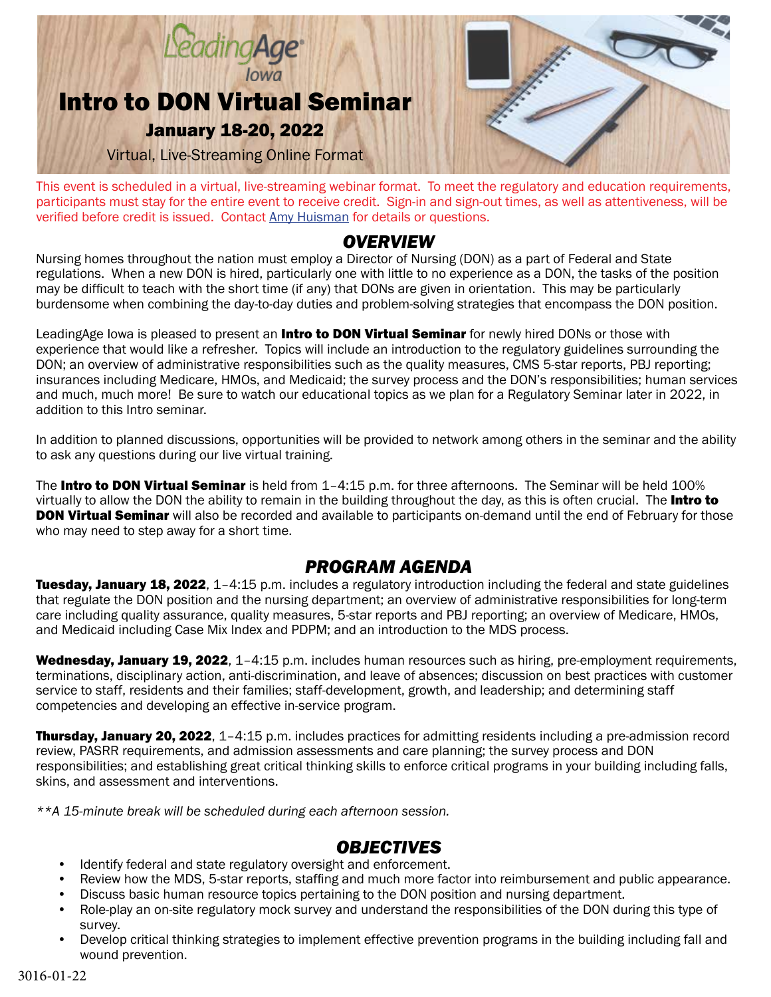

This event is scheduled in a virtual, live-streaming webinar format. To meet the regulatory and education requirements, participants must stay for the entire event to receive credit. Sign-in and sign-out times, as well as attentiveness, will be verified before credit is issued. Contact [Amy Huisman](mailto:ahuisman@leadingageiowa.org) for details or questions.

### *OVERVIEW*

Nursing homes throughout the nation must employ a Director of Nursing (DON) as a part of Federal and State regulations. When a new DON is hired, particularly one with little to no experience as a DON, the tasks of the position may be difficult to teach with the short time (if any) that DONs are given in orientation. This may be particularly burdensome when combining the day-to-day duties and problem-solving strategies that encompass the DON position.

LeadingAge lowa is pleased to present an *Intro to DON Virtual Seminar* for newly hired DONs or those with experience that would like a refresher. Topics will include an introduction to the regulatory guidelines surrounding the DON; an overview of administrative responsibilities such as the quality measures, CMS 5-star reports, PBJ reporting; insurances including Medicare, HMOs, and Medicaid; the survey process and the DON's responsibilities; human services and much, much more! Be sure to watch our educational topics as we plan for a Regulatory Seminar later in 2022, in addition to this Intro seminar.

In addition to planned discussions, opportunities will be provided to network among others in the seminar and the ability to ask any questions during our live virtual training.

The Intro to DON Virtual Seminar is held from 1-4:15 p.m. for three afternoons. The Seminar will be held 100% virtually to allow the DON the ability to remain in the building throughout the day, as this is often crucial. The Intro to **DON Virtual Seminar** will also be recorded and available to participants on-demand until the end of February for those who may need to step away for a short time.

# *PROGRAM AGENDA*

Tuesday, January 18, 2022, 1-4:15 p.m. includes a regulatory introduction including the federal and state guidelines that regulate the DON position and the nursing department; an overview of administrative responsibilities for long-term care including quality assurance, quality measures, 5-star reports and PBJ reporting; an overview of Medicare, HMOs, and Medicaid including Case Mix Index and PDPM; and an introduction to the MDS process.

Wednesday, January 19, 2022, 1-4:15 p.m. includes human resources such as hiring, pre-employment requirements, terminations, disciplinary action, anti-discrimination, and leave of absences; discussion on best practices with customer service to staff, residents and their families; staff-development, growth, and leadership; and determining staff competencies and developing an effective in-service program.

**Thursday, January 20, 2022**, 1-4:15 p.m. includes practices for admitting residents including a pre-admission record review, PASRR requirements, and admission assessments and care planning; the survey process and DON responsibilities; and establishing great critical thinking skills to enforce critical programs in your building including falls, skins, and assessment and interventions.

*\*\*A 15-minute break will be scheduled during each afternoon session.* 

## *OBJECTIVES*

- Identify federal and state regulatory oversight and enforcement.
- Review how the MDS, 5-star reports, staffing and much more factor into reimbursement and public appearance.
- Discuss basic human resource topics pertaining to the DON position and nursing department.
- Role-play an on-site regulatory mock survey and understand the responsibilities of the DON during this type of survey.
- Develop critical thinking strategies to implement effective prevention programs in the building including fall and wound prevention.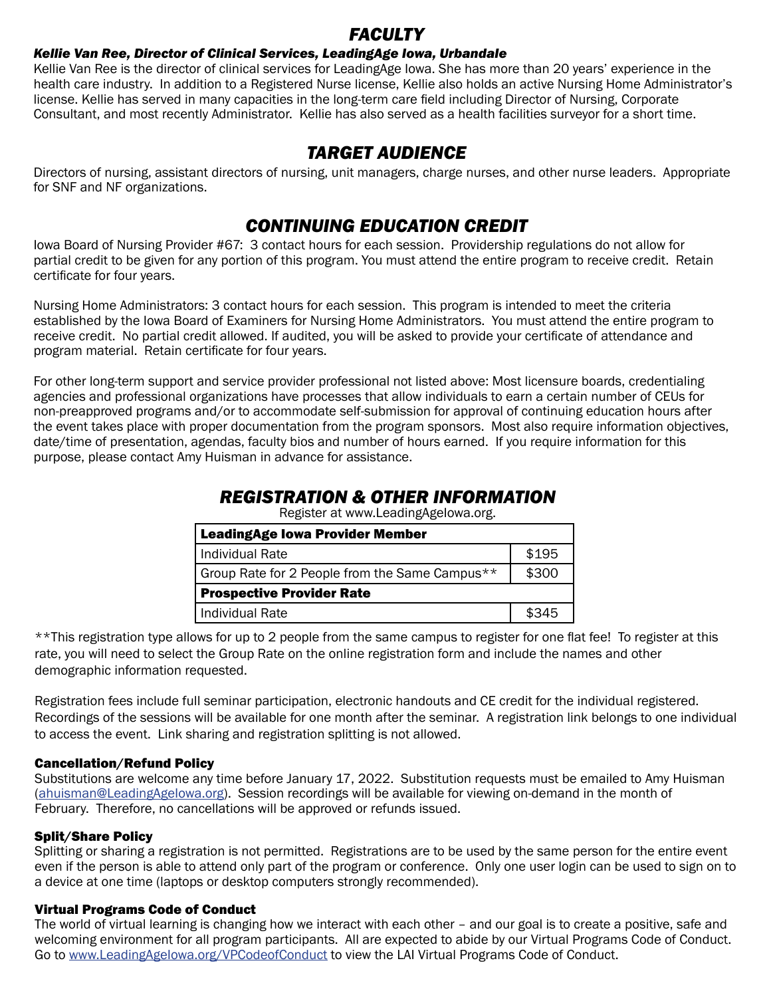## *FACULTY*

### *Kellie Van Ree, Director of Clinical Services, LeadingAge Iowa, Urbandale*

Kellie Van Ree is the director of clinical services for LeadingAge Iowa. She has more than 20 years' experience in the health care industry. In addition to a Registered Nurse license, Kellie also holds an active Nursing Home Administrator's license. Kellie has served in many capacities in the long-term care field including Director of Nursing, Corporate Consultant, and most recently Administrator. Kellie has also served as a health facilities surveyor for a short time.

## *TARGET AUDIENCE*

Directors of nursing, assistant directors of nursing, unit managers, charge nurses, and other nurse leaders. Appropriate for SNF and NF organizations.

## *CONTINUING EDUCATION CREDIT*

Iowa Board of Nursing Provider #67: 3 contact hours for each session. Providership regulations do not allow for partial credit to be given for any portion of this program. You must attend the entire program to receive credit. Retain certificate for four years.

Nursing Home Administrators: 3 contact hours for each session. This program is intended to meet the criteria established by the Iowa Board of Examiners for Nursing Home Administrators. You must attend the entire program to receive credit. No partial credit allowed. If audited, you will be asked to provide your certificate of attendance and program material. Retain certificate for four years.

For other long-term support and service provider professional not listed above: Most licensure boards, credentialing agencies and professional organizations have processes that allow individuals to earn a certain number of CEUs for non-preapproved programs and/or to accommodate self-submission for approval of continuing education hours after the event takes place with proper documentation from the program sponsors. Most also require information objectives, date/time of presentation, agendas, faculty bios and number of hours earned. If you require information for this purpose, please contact Amy Huisman in advance for assistance.

## *REGISTRATION & OTHER INFORMATION*

Register at [www.LeadingAgeIowa.org](https://lai.memberclicks.net/introtodon).

| <b>LeadingAge lowa Provider Member</b>         |       |
|------------------------------------------------|-------|
| Individual Rate                                | \$195 |
| Group Rate for 2 People from the Same Campus** | \$300 |
| <b>Prospective Provider Rate</b>               |       |
| Individual Rate                                | \$345 |

\*\*This registration type allows for up to 2 people from the same campus to register for one flat fee! To register at this rate, you will need to select the Group Rate on the online registration form and include the names and other demographic information requested.

Registration fees include full seminar participation, electronic handouts and CE credit for the individual registered. Recordings of the sessions will be available for one month after the seminar. A registration link belongs to one individual to access the event. Link sharing and registration splitting is not allowed.

### Cancellation/Refund Policy

Substitutions are welcome any time before January 17, 2022. Substitution requests must be emailed to Amy Huisman (ahuisman@LeadingAgeIowa.org). Session recordings will be available for viewing on-demand in the month of February. Therefore, no cancellations will be approved or refunds issued.

### Split/Share Policy

Splitting or sharing a registration is not permitted. Registrations are to be used by the same person for the entire event even if the person is able to attend only part of the program or conference. Only one user login can be used to sign on to a device at one time (laptops or desktop computers strongly recommended).

### Virtual Programs Code of Conduct

The world of virtual learning is changing how we interact with each other – and our goal is to create a positive, safe and welcoming environment for all program participants. All are expected to abide by our Virtual Programs Code of Conduct. Go to www.LeadingAgeIowa.org/VPCodeofConduct to view the LAI Virtual Programs Code of Conduct.